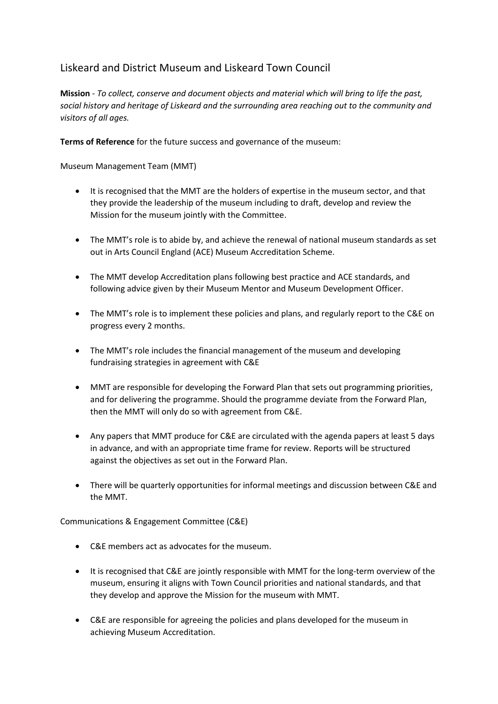## Liskeard and District Museum and Liskeard Town Council

**Mission** *- To collect, conserve and document objects and material which will bring to life the past, social history and heritage of Liskeard and the surrounding area reaching out to the community and visitors of all ages.*

**Terms of Reference** for the future success and governance of the museum:

Museum Management Team (MMT)

- It is recognised that the MMT are the holders of expertise in the museum sector, and that they provide the leadership of the museum including to draft, develop and review the Mission for the museum jointly with the Committee.
- The MMT's role is to abide by, and achieve the renewal of national museum standards as set out in Arts Council England (ACE) Museum Accreditation Scheme.
- The MMT develop Accreditation plans following best practice and ACE standards, and following advice given by their Museum Mentor and Museum Development Officer.
- The MMT's role is to implement these policies and plans, and regularly report to the C&E on progress every 2 months.
- The MMT's role includes the financial management of the museum and developing fundraising strategies in agreement with C&E
- MMT are responsible for developing the Forward Plan that sets out programming priorities, and for delivering the programme. Should the programme deviate from the Forward Plan, then the MMT will only do so with agreement from C&E.
- Any papers that MMT produce for C&E are circulated with the agenda papers at least 5 days in advance, and with an appropriate time frame for review. Reports will be structured against the objectives as set out in the Forward Plan.
- There will be quarterly opportunities for informal meetings and discussion between C&E and the MMT.

Communications & Engagement Committee (C&E)

- C&E members act as advocates for the museum.
- It is recognised that C&E are jointly responsible with MMT for the long-term overview of the museum, ensuring it aligns with Town Council priorities and national standards, and that they develop and approve the Mission for the museum with MMT.
- C&E are responsible for agreeing the policies and plans developed for the museum in achieving Museum Accreditation.